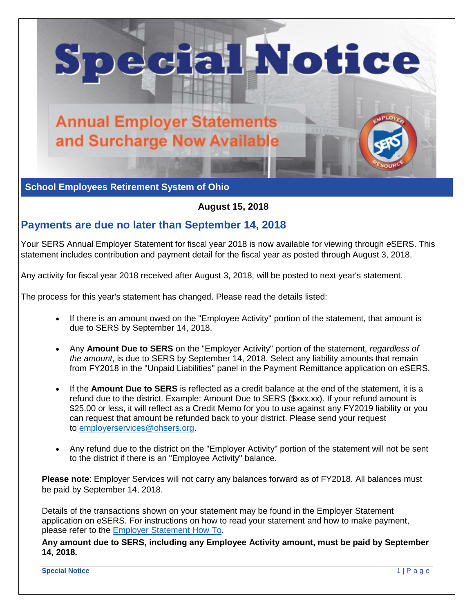

**School Employees Retirement System of Ohio** 

**August 15, 2018** 

## **Payments are due no later than September 14, 2018**

Your SERS Annual Employer Statement for fiscal year 2018 is now available for viewing through *e*SERS. This statement includes contribution and payment detail for the fiscal year as posted through August 3, 2018.

Any activity for fiscal year 2018 received after August 3, 2018, will be posted to next year's statement.

The process for this year's statement has changed. Please read the details listed:

- If there is an amount owed on the "Employee Activity" portion of the statement, that amount is due to SERS by September 14, 2018.
- Any **Amount Due to SERS** on the "Employer Activity" portion of the statement, *regardless of the amount*, is due to SERS by September 14, 2018. Select any liability amounts that remain from FY2018 in the "Unpaid Liabilities" panel in the Payment Remittance application on eSERS.
- If the **Amount Due to SERS** is reflected as a credit balance at the end of the statement, it is a refund due to the district. Example: Amount Due to SERS (\$xxx.xx). If your refund amount is \$25.00 or less, it will reflect as a Credit Memo for you to use against any FY2019 liability or you can request that amount be refunded back to your district. Please send your request to [employerservices@ohsers.org.](mailto:employerservices@ohsers.org)
- Any refund due to the district on the "Employer Activity" portion of the statement will not be sent to the district if there is an "Employee Activity" balance.

**Please note**: Employer Services will not carry any balances forward as of FY2018. All balances must be paid by September 14, 2018.

Details of the transactions shown on your statement may be found in the Employer Statement application on eSERS. For instructions on how to read your statement and how to make payment, please refer to the [Employer Statement How To.](http://ohsers.org/wp-content/uploads/2018/08/EMP-7022-How-To-Employer-Statement.pdf)

**Any amount due to SERS, including any Employee Activity amount, must be paid by September 14, 2018.**

**Special Notice** 1 | P a g e